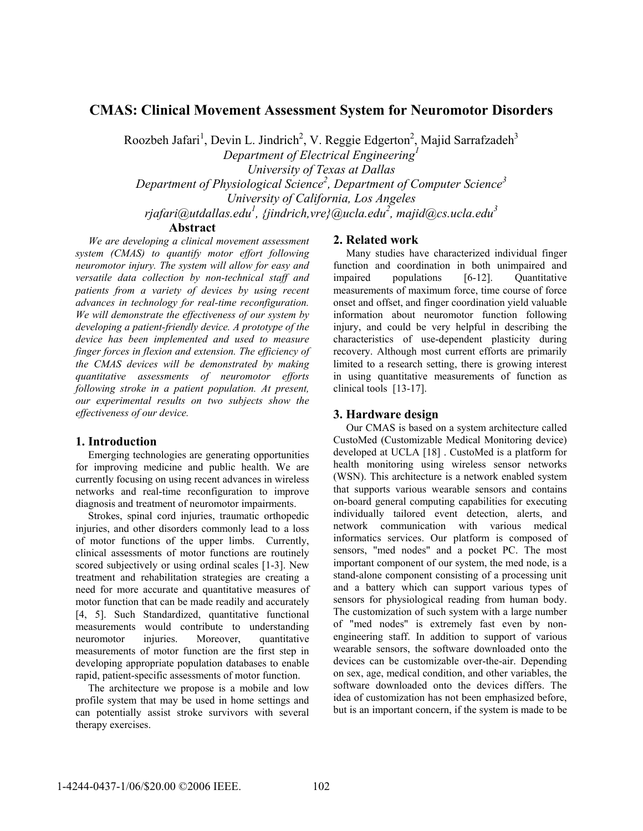## **CMAS: Clinical Movement Assessment System for Neuromotor Disorders**

Roozbeh Jafari<sup>1</sup>, Devin L. Jindrich<sup>2</sup>, V. Reggie Edgerton<sup>2</sup>, Majid Sarrafzadeh<sup>3</sup> *Department of Electrical Engineering1 University of Texas at Dallas Department of Physiological Science2 , Department of Computer Science<sup>3</sup> University of California, Los Angeles rjafari@utdallas.edu1 , {jindrich,vre}@ucla.edu2 , majid@cs.ucla.edu3*

## **Abstract**

*We are developing a clinical movement assessment system (CMAS) to quantify motor effort following neuromotor injury. The system will allow for easy and versatile data collection by non-technical staff and patients from a variety of devices by using recent advances in technology for real-time reconfiguration. We will demonstrate the effectiveness of our system by developing a patient-friendly device. A prototype of the device has been implemented and used to measure finger forces in flexion and extension. The efficiency of the CMAS devices will be demonstrated by making quantitative assessments of neuromotor efforts following stroke in a patient population. At present, our experimental results on two subjects show the effectiveness of our device.* 

#### **1. Introduction**

Emerging technologies are generating opportunities for improving medicine and public health. We are currently focusing on using recent advances in wireless networks and real-time reconfiguration to improve diagnosis and treatment of neuromotor impairments.

Strokes, spinal cord injuries, traumatic orthopedic injuries, and other disorders commonly lead to a loss of motor functions of the upper limbs. Currently, clinical assessments of motor functions are routinely scored subjectively or using ordinal scales [1-3]. New treatment and rehabilitation strategies are creating a need for more accurate and quantitative measures of motor function that can be made readily and accurately [4, 5]. Such Standardized, quantitative functional measurements would contribute to understanding neuromotor injuries. Moreover, quantitative measurements of motor function are the first step in developing appropriate population databases to enable rapid, patient-specific assessments of motor function.

The architecture we propose is a mobile and low profile system that may be used in home settings and can potentially assist stroke survivors with several therapy exercises.

### **2. Related work**

Many studies have characterized individual finger function and coordination in both unimpaired and impaired populations [6-12]. Quantitative measurements of maximum force, time course of force onset and offset, and finger coordination yield valuable information about neuromotor function following injury, and could be very helpful in describing the characteristics of use-dependent plasticity during recovery. Although most current efforts are primarily limited to a research setting, there is growing interest in using quantitative measurements of function as clinical tools [13-17].

### **3. Hardware design**

Our CMAS is based on a system architecture called CustoMed (Customizable Medical Monitoring device) developed at UCLA [18] . CustoMed is a platform for health monitoring using wireless sensor networks (WSN). This architecture is a network enabled system that supports various wearable sensors and contains on-board general computing capabilities for executing individually tailored event detection, alerts, and network communication with various medical informatics services. Our platform is composed of sensors, "med nodes" and a pocket PC. The most important component of our system, the med node, is a stand-alone component consisting of a processing unit and a battery which can support various types of sensors for physiological reading from human body. The customization of such system with a large number of "med nodes" is extremely fast even by nonengineering staff. In addition to support of various wearable sensors, the software downloaded onto the devices can be customizable over-the-air. Depending on sex, age, medical condition, and other variables, the software downloaded onto the devices differs. The idea of customization has not been emphasized before, but is an important concern, if the system is made to be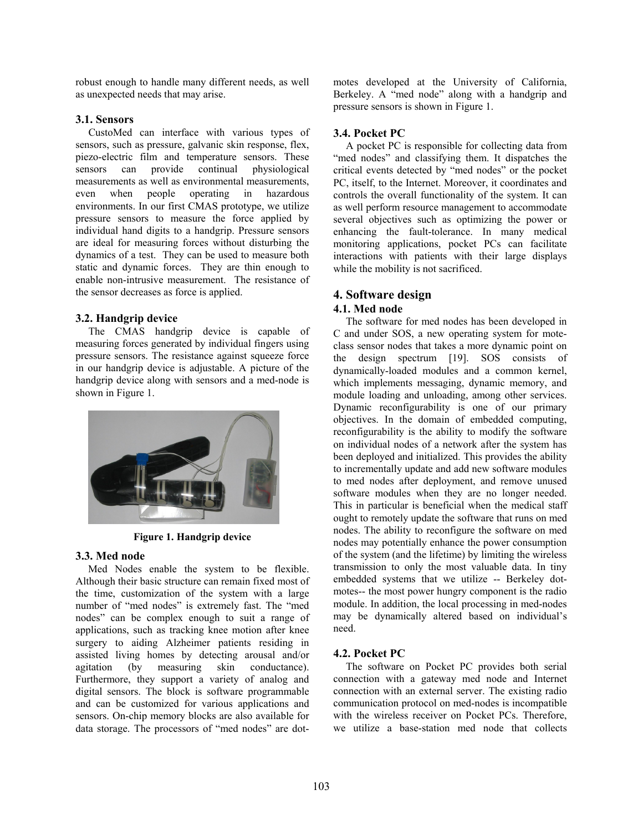robust enough to handle many different needs, as well as unexpected needs that may arise.

## **3.1. Sensors**

CustoMed can interface with various types of sensors, such as pressure, galvanic skin response, flex, piezo-electric film and temperature sensors. These sensors can provide continual physiological measurements as well as environmental measurements, even when people operating in hazardous environments. In our first CMAS prototype, we utilize pressure sensors to measure the force applied by individual hand digits to a handgrip. Pressure sensors are ideal for measuring forces without disturbing the dynamics of a test. They can be used to measure both static and dynamic forces. They are thin enough to enable non-intrusive measurement. The resistance of the sensor decreases as force is applied.

## **3.2. Handgrip device**

The CMAS handgrip device is capable of measuring forces generated by individual fingers using pressure sensors. The resistance against squeeze force in our handgrip device is adjustable. A picture of the handgrip device along with sensors and a med-node is shown in Figure 1.



**Figure 1. Handgrip device** 

## **3.3. Med node**

Med Nodes enable the system to be flexible. Although their basic structure can remain fixed most of the time, customization of the system with a large number of "med nodes" is extremely fast. The "med nodes" can be complex enough to suit a range of applications, such as tracking knee motion after knee surgery to aiding Alzheimer patients residing in assisted living homes by detecting arousal and/or agitation (by measuring skin conductance). Furthermore, they support a variety of analog and digital sensors. The block is software programmable and can be customized for various applications and sensors. On-chip memory blocks are also available for data storage. The processors of "med nodes" are dotmotes developed at the University of California, Berkeley. A "med node" along with a handgrip and pressure sensors is shown in Figure 1.

# **3.4. Pocket PC**

A pocket PC is responsible for collecting data from "med nodes" and classifying them. It dispatches the critical events detected by "med nodes" or the pocket PC, itself, to the Internet. Moreover, it coordinates and controls the overall functionality of the system. It can as well perform resource management to accommodate several objectives such as optimizing the power or enhancing the fault-tolerance. In many medical monitoring applications, pocket PCs can facilitate interactions with patients with their large displays while the mobility is not sacrificed.

### **4. Software design 4.1. Med node**

The software for med nodes has been developed in C and under SOS, a new operating system for moteclass sensor nodes that takes a more dynamic point on the design spectrum [19]. SOS consists of dynamically-loaded modules and a common kernel, which implements messaging, dynamic memory, and module loading and unloading, among other services. Dynamic reconfigurability is one of our primary objectives. In the domain of embedded computing, reconfigurability is the ability to modify the software on individual nodes of a network after the system has been deployed and initialized. This provides the ability to incrementally update and add new software modules to med nodes after deployment, and remove unused software modules when they are no longer needed. This in particular is beneficial when the medical staff ought to remotely update the software that runs on med nodes. The ability to reconfigure the software on med nodes may potentially enhance the power consumption of the system (and the lifetime) by limiting the wireless transmission to only the most valuable data. In tiny embedded systems that we utilize -- Berkeley dotmotes-- the most power hungry component is the radio module. In addition, the local processing in med-nodes may be dynamically altered based on individual's need.

### **4.2. Pocket PC**

The software on Pocket PC provides both serial connection with a gateway med node and Internet connection with an external server. The existing radio communication protocol on med-nodes is incompatible with the wireless receiver on Pocket PCs. Therefore, we utilize a base-station med node that collects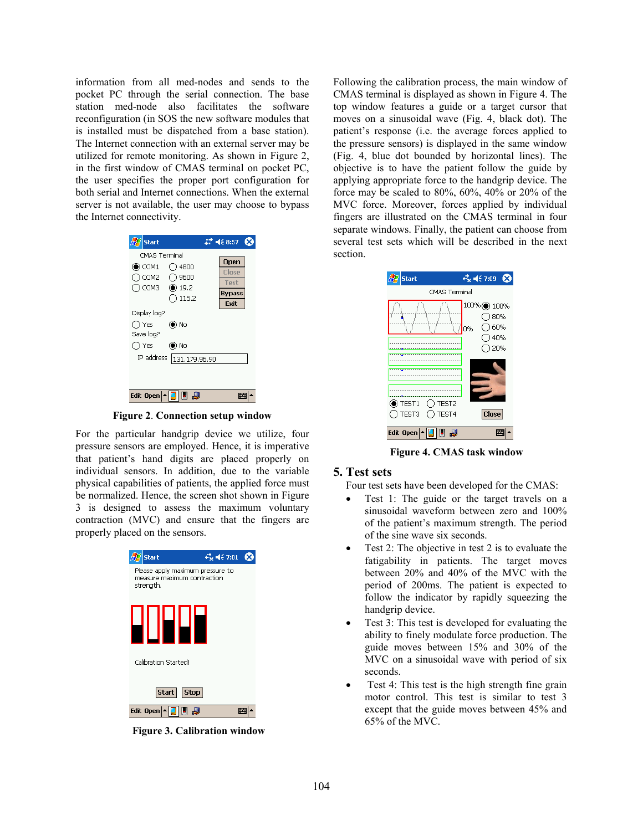information from all med-nodes and sends to the pocket PC through the serial connection. The base station med-node also facilitates the software reconfiguration (in SOS the new software modules that is installed must be dispatched from a base station). The Internet connection with an external server may be utilized for remote monitoring. As shown in Figure 2, in the first window of CMAS terminal on pocket PC, the user specifies the proper port configuration for both serial and Internet connections. When the external server is not available, the user may choose to bypass the Internet connectivity.

| CMAS Terminal<br>Open<br>⊛ COM1<br>4800 (<br>Close<br>) COM2<br>ි 9600<br>Test<br>$\supset$ COM3<br>◉ 19.2<br><b>Bypass</b><br>ີ 115.2<br>Exit<br>Display log?<br>○ Yes<br>() No<br>Save log?<br>∩ Yes I<br>D) No<br>IP address<br>131.179.96.90 | <b>Start</b> | ₩ 4€8:57 |
|--------------------------------------------------------------------------------------------------------------------------------------------------------------------------------------------------------------------------------------------------|--------------|----------|
|                                                                                                                                                                                                                                                  |              |          |
|                                                                                                                                                                                                                                                  |              |          |
|                                                                                                                                                                                                                                                  |              |          |
|                                                                                                                                                                                                                                                  |              |          |
|                                                                                                                                                                                                                                                  |              |          |
|                                                                                                                                                                                                                                                  |              |          |
| Edit Open $\left  \cdot \right $<br>л                                                                                                                                                                                                            |              |          |

**Figure 2**. **Connection setup window**

For the particular handgrip device we utilize, four pressure sensors are employed. Hence, it is imperative that patient's hand digits are placed properly on individual sensors. In addition, due to the variable physical capabilities of patients, the applied force must be normalized. Hence, the screen shot shown in Figure 3 is designed to assess the maximum voluntary contraction (MVC) and ensure that the fingers are properly placed on the sensors.



**Figure 3. Calibration window** 

Following the calibration process, the main window of CMAS terminal is displayed as shown in Figure 4. The top window features a guide or a target cursor that moves on a sinusoidal wave (Fig. 4, black dot). The patient's response (i.e. the average forces applied to the pressure sensors) is displayed in the same window (Fig. 4, blue dot bounded by horizontal lines). The objective is to have the patient follow the guide by applying appropriate force to the handgrip device. The force may be scaled to 80%, 60%, 40% or 20% of the MVC force. Moreover, forces applied by individual fingers are illustrated on the CMAS terminal in four separate windows. Finally, the patient can choose from several test sets which will be described in the next section.



**Figure 4. CMAS task window** 

### **5. Test sets**

Four test sets have been developed for the CMAS:

- Test 1: The guide or the target travels on a sinusoidal waveform between zero and 100% of the patient's maximum strength. The period of the sine wave six seconds.
- Test 2: The objective in test 2 is to evaluate the fatigability in patients. The target moves between 20% and 40% of the MVC with the period of 200ms. The patient is expected to follow the indicator by rapidly squeezing the handgrip device.
- Test 3: This test is developed for evaluating the ability to finely modulate force production. The guide moves between 15% and 30% of the MVC on a sinusoidal wave with period of six seconds.
- Test 4: This test is the high strength fine grain motor control. This test is similar to test 3 except that the guide moves between 45% and 65% of the MVC.